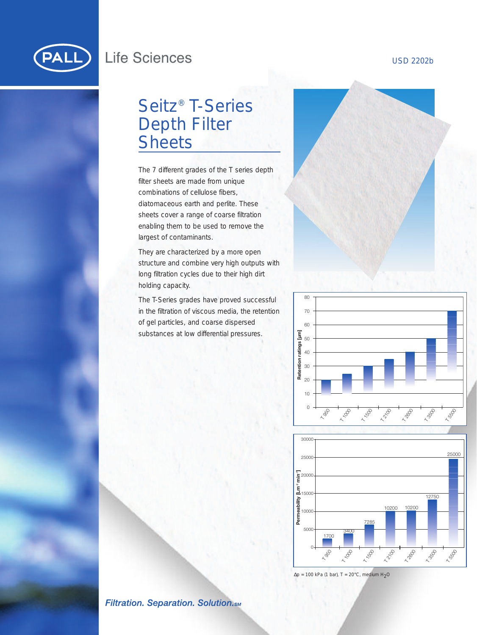

## **Life Sciences**

# Seitz® T-Series Depth Filter **Sheets**

The 7 different grades of the T series depth filter sheets are made from unique combinations of cellulose fibers, diatomaceous earth and perlite. These sheets cover a range of coarse filtration enabling them to be used to remove the largest of contaminants.

They are characterized by a more open structure and combine very high outputs with long filtration cycles due to their high dirt holding capacity.

The T-Series grades have proved successful in the filtration of viscous media, the retention of gel particles, and coarse dispersed substances at low differential pressures.







 $\Delta p = 100$  kPa (1 bar), T = 20°C, medium H<sub>2</sub>O